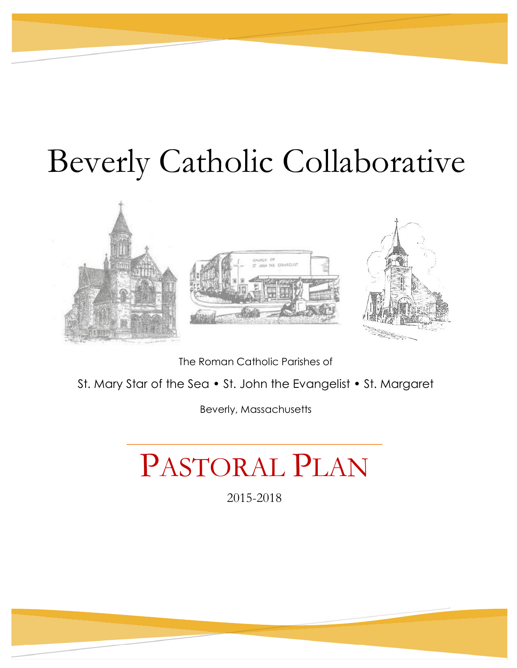# Beverly Catholic Collaborative



The Roman Catholic Parishes of

St. Mary Star of the Sea • St. John the Evangelist • St. Margaret

Beverly, Massachusetts

# PASTORAL PLAN

2015-2018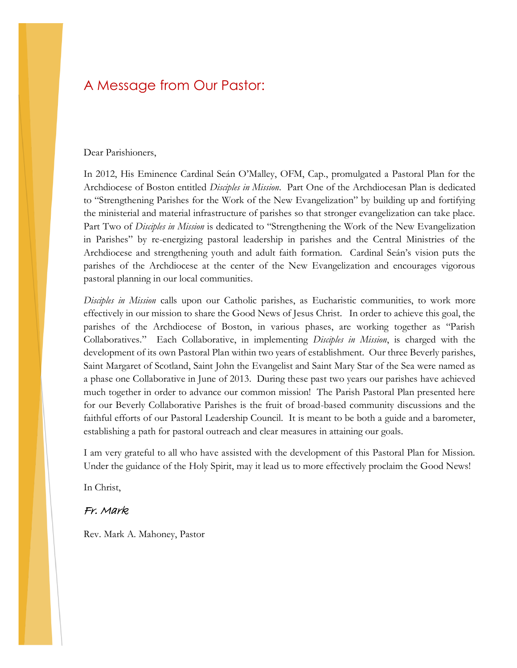# A Message from Our Pastor:

#### Dear Parishioners,

In 2012, His Eminence Cardinal Seán O'Malley, OFM, Cap., promulgated a Pastoral Plan for the Archdiocese of Boston entitled *Disciples in Mission*. Part One of the Archdiocesan Plan is dedicated to "Strengthening Parishes for the Work of the New Evangelization" by building up and fortifying the ministerial and material infrastructure of parishes so that stronger evangelization can take place. Part Two of *Disciples in Mission* is dedicated to "Strengthening the Work of the New Evangelization in Parishes" by re-energizing pastoral leadership in parishes and the Central Ministries of the Archdiocese and strengthening youth and adult faith formation. Cardinal Seán's vision puts the parishes of the Archdiocese at the center of the New Evangelization and encourages vigorous pastoral planning in our local communities.

*Disciples in Mission* calls upon our Catholic parishes, as Eucharistic communities, to work more effectively in our mission to share the Good News of Jesus Christ. In order to achieve this goal, the parishes of the Archdiocese of Boston, in various phases, are working together as "Parish Collaboratives." Each Collaborative, in implementing *Disciples in Mission*, is charged with the development of its own Pastoral Plan within two years of establishment. Our three Beverly parishes, Saint Margaret of Scotland, Saint John the Evangelist and Saint Mary Star of the Sea were named as a phase one Collaborative in June of 2013. During these past two years our parishes have achieved much together in order to advance our common mission! The Parish Pastoral Plan presented here for our Beverly Collaborative Parishes is the fruit of broad-based community discussions and the faithful efforts of our Pastoral Leadership Council. It is meant to be both a guide and a barometer, establishing a path for pastoral outreach and clear measures in attaining our goals.

I am very grateful to all who have assisted with the development of this Pastoral Plan for Mission. Under the guidance of the Holy Spirit, may it lead us to more effectively proclaim the Good News!

In Christ,

#### Fr. Mark

Rev. Mark A. Mahoney, Pastor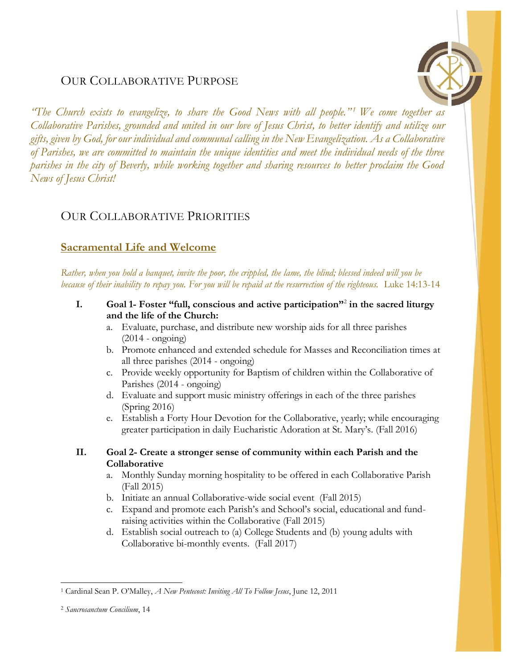# OUR COLLABORATIVE PURPOSE



*"The Church exists to evangelize, to share the Good News with all people." <sup>1</sup> We come together as Collaborative Parishes, grounded and united in our love of Jesus Christ, to better identify and utilize our gifts, given by God, for our individual and communal calling in the New Evangelization. As a Collaborative of Parishes, we are committed to maintain the unique identities and meet the individual needs of the three parishes in the city of Beverly, while working together and sharing resources to better proclaim the Good News of Jesus Christ!*

## OUR COLLABORATIVE PRIORITIES

## **Sacramental Life and Welcome**

*Rather, when you hold a banquet, invite the poor, the crippled, the lame, the blind; blessed indeed will you be because of their inability to repay you. For you will be repaid at the resurrection of the righteous.* Luke 14:13-14

- **I. Goal 1- Foster "full, conscious and active participation"**<sup>2</sup> **in the sacred liturgy and the life of the Church:**
	- a. Evaluate, purchase, and distribute new worship aids for all three parishes (2014 - ongoing)
	- b. Promote enhanced and extended schedule for Masses and Reconciliation times at all three parishes (2014 - ongoing)
	- c. Provide weekly opportunity for Baptism of children within the Collaborative of Parishes (2014 - ongoing)
	- d. Evaluate and support music ministry offerings in each of the three parishes (Spring 2016)
	- e. Establish a Forty Hour Devotion for the Collaborative, yearly; while encouraging greater participation in daily Eucharistic Adoration at St. Mary's. (Fall 2016)
- **II. Goal 2- Create a stronger sense of community within each Parish and the Collaborative**
	- a. Monthly Sunday morning hospitality to be offered in each Collaborative Parish (Fall 2015)
	- b. Initiate an annual Collaborative-wide social event (Fall 2015)
	- c. Expand and promote each Parish's and School's social, educational and fundraising activities within the Collaborative (Fall 2015)
	- d. Establish social outreach to (a) College Students and (b) young adults with Collaborative bi-monthly events. (Fall 2017)

 $\overline{a}$ 

<sup>1</sup> Cardinal Sean P. O'Malley, *A New Pentecost: Inviting All To Follow Jesus*, June 12, 2011

<sup>2</sup> *Sancrosanctum Concilium*, 14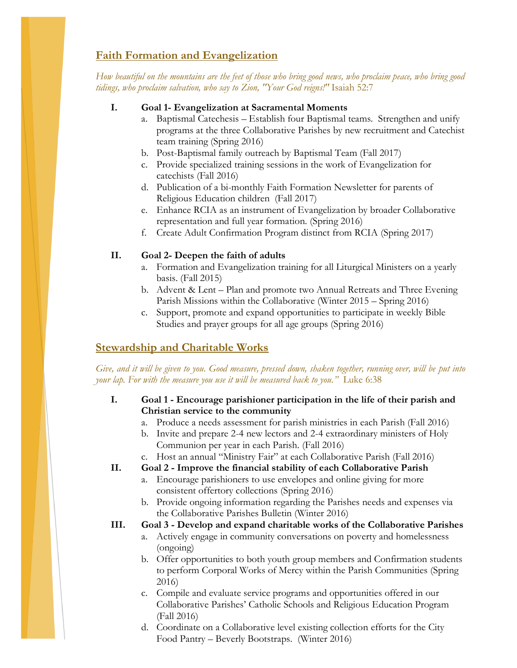## **Faith Formation and Evangelization**

*How beautiful on the mountains are the feet of those who bring good news, who proclaim peace, who bring good tidings, who proclaim salvation, who say to Zion, "Your God reigns!"* Isaiah 52:7

#### **I. Goal 1- Evangelization at Sacramental Moments**

- a. Baptismal Catechesis Establish four Baptismal teams. Strengthen and unify programs at the three Collaborative Parishes by new recruitment and Catechist team training (Spring 2016)
- b. Post-Baptismal family outreach by Baptismal Team (Fall 2017)
- c. Provide specialized training sessions in the work of Evangelization for catechists (Fall 2016)
- d. Publication of a bi-monthly Faith Formation Newsletter for parents of Religious Education children (Fall 2017)
- e. Enhance RCIA as an instrument of Evangelization by broader Collaborative representation and full year formation. (Spring 2016)
- f. Create Adult Confirmation Program distinct from RCIA (Spring 2017)

#### **II. Goal 2- Deepen the faith of adults**

- a. Formation and Evangelization training for all Liturgical Ministers on a yearly basis. (Fall 2015)
- b. Advent & Lent Plan and promote two Annual Retreats and Three Evening Parish Missions within the Collaborative (Winter 2015 – Spring 2016)
- c. Support, promote and expand opportunities to participate in weekly Bible Studies and prayer groups for all age groups (Spring 2016)

### **Stewardship and Charitable Works**

*Give, and it will be given to you. Good measure, pressed down, shaken together, running over, will be put into your lap. For with the measure you use it will be measured back to you."* Luke 6:38

- **I. Goal 1 - Encourage parishioner participation in the life of their parish and Christian service to the community**
	- a. Produce a needs assessment for parish ministries in each Parish (Fall 2016)
	- b. Invite and prepare 2-4 new lectors and 2-4 extraordinary ministers of Holy Communion per year in each Parish. (Fall 2016)
	- c. Host an annual "Ministry Fair" at each Collaborative Parish (Fall 2016)

**II. Goal 2 - Improve the financial stability of each Collaborative Parish**

- a. Encourage parishioners to use envelopes and online giving for more consistent offertory collections (Spring 2016)
- b. Provide ongoing information regarding the Parishes needs and expenses via the Collaborative Parishes Bulletin (Winter 2016)

#### **III. Goal 3 - Develop and expand charitable works of the Collaborative Parishes**

- a. Actively engage in community conversations on poverty and homelessness (ongoing)
- b. Offer opportunities to both youth group members and Confirmation students to perform Corporal Works of Mercy within the Parish Communities (Spring 2016)
- c. Compile and evaluate service programs and opportunities offered in our Collaborative Parishes' Catholic Schools and Religious Education Program (Fall 2016)
- d. Coordinate on a Collaborative level existing collection efforts for the City Food Pantry – Beverly Bootstraps. (Winter 2016)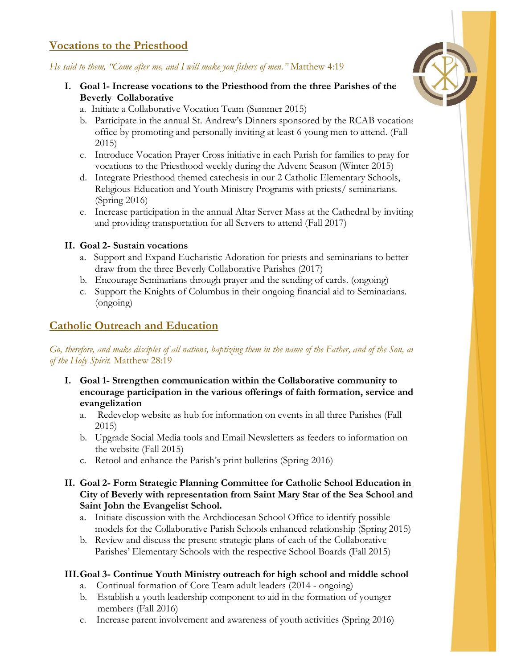## **Vocations to the Priesthood**

#### *He said to them, "Come after me, and I will make you fishers of men."* Matthew 4:19

- **I. Goal 1- Increase vocations to the Priesthood from the three Parishes of the Beverly Collaborative**
	- a. Initiate a Collaborative Vocation Team (Summer 2015)
	- b. Participate in the annual St. Andrew's Dinners sponsored by the RCAB vocations office by promoting and personally inviting at least 6 young men to attend. (Fall 2015)
	- c. Introduce Vocation Prayer Cross initiative in each Parish for families to pray for vocations to the Priesthood weekly during the Advent Season (Winter 2015)
	- d. Integrate Priesthood themed catechesis in our 2 Catholic Elementary Schools, Religious Education and Youth Ministry Programs with priests/ seminarians. (Spring 2016)
	- e. Increase participation in the annual Altar Server Mass at the Cathedral by inviting and providing transportation for all Servers to attend (Fall 2017)

#### **II. Goal 2- Sustain vocations**

- a. Support and Expand Eucharistic Adoration for priests and seminarians to better draw from the three Beverly Collaborative Parishes (2017)
- b. Encourage Seminarians through prayer and the sending of cards. (ongoing)
- c. Support the Knights of Columbus in their ongoing financial aid to Seminarians. (ongoing)

### **Catholic Outreach and Education**

Go, therefore, and make disciples of all nations, baptizing them in the name of the Father, and of the Son, an *of the Holy Spirit.* Matthew 28:19

- **I. Goal 1- Strengthen communication within the Collaborative community to encourage participation in the various offerings of faith formation, service and evangelization**
	- a. Redevelop website as hub for information on events in all three Parishes (Fall 2015)
	- b. Upgrade Social Media tools and Email Newsletters as feeders to information on the website (Fall 2015)
	- c. Retool and enhance the Parish's print bulletins (Spring 2016)
- **II. Goal 2- Form Strategic Planning Committee for Catholic School Education in City of Beverly with representation from Saint Mary Star of the Sea School and Saint John the Evangelist School.**
	- a. Initiate discussion with the Archdiocesan School Office to identify possible models for the Collaborative Parish Schools enhanced relationship (Spring 2015)
	- b. Review and discuss the present strategic plans of each of the Collaborative Parishes' Elementary Schools with the respective School Boards (Fall 2015)

#### **III.Goal 3- Continue Youth Ministry outreach for high school and middle school**

- a. Continual formation of Core Team adult leaders (2014 ongoing)
- b. Establish a youth leadership component to aid in the formation of younger members (Fall 2016)
- c. Increase parent involvement and awareness of youth activities (Spring 2016)